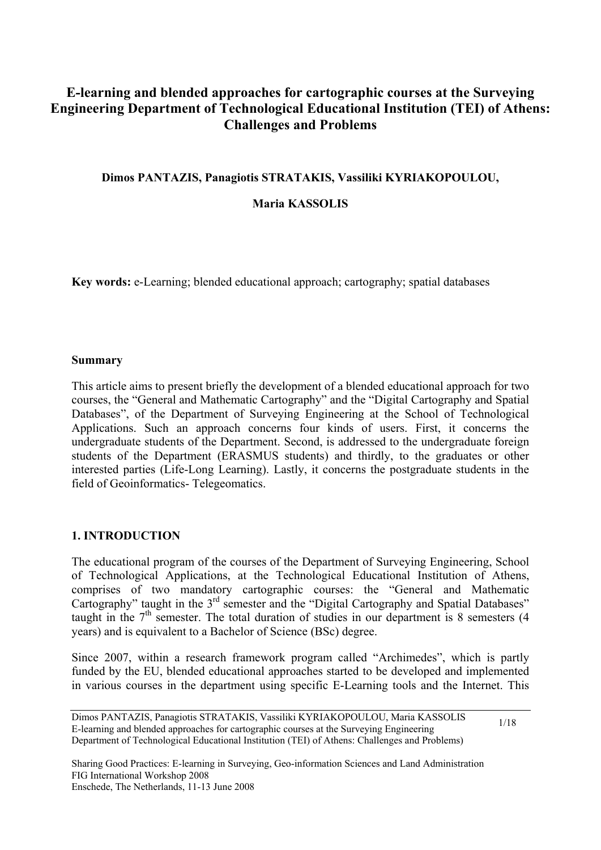# **E-learning and blended approaches for cartographic courses at the Surveying Engineering Department of Technological Educational Institution (TEI) of Athens: Challenges and Problems**

### **Dimos PANTAZIS, Panagiotis STRATAKIS, Vassiliki KYRIAKOPOULOU,**

#### **Maria KASSOLIS**

**Key words:** e-Learning; blended educational approach; cartography; spatial databases

#### **Summary**

This article aims to present briefly the development of a blended educational approach for two courses, the "General and Mathematic Cartography" and the "Digital Cartography and Spatial Databases", of the Department of Surveying Engineering at the School of Technological Applications. Such an approach concerns four kinds of users. First, it concerns the undergraduate students of the Department. Second, is addressed to the undergraduate foreign students of the Department (ERASMUS students) and thirdly, to the graduates or other interested parties (Life-Long Learning). Lastly, it concerns the postgraduate students in the field of Geoinformatics- Telegeomatics.

### **1. INTRODUCTION**

The educational program of the courses of the Department of Surveying Engineering, School of Technological Applications, at the Technological Educational Institution of Athens, comprises of two mandatory cartographic courses: the "General and Mathematic Cartography" taught in the  $3<sup>rd</sup>$  semester and the "Digital Cartography and Spatial Databases" taught in the  $7<sup>th</sup>$  semester. The total duration of studies in our department is 8 semesters (4) years) and is equivalent to a Bachelor of Science (BSc) degree.

Since 2007, within a research framework program called "Archimedes", which is partly funded by the EU, blended educational approaches started to be developed and implemented in various courses in the department using specific E-Learning tools and the Internet. This

Dimos PANTAZIS, Panagiotis STRATAKIS, Vassiliki KYRIAKOPOULOU, Maria KASSOLIS E-learning and blended approaches for cartographic courses at the Surveying Engineering Department of Technological Educational Institution (TEI) of Athens: Challenges and Problems)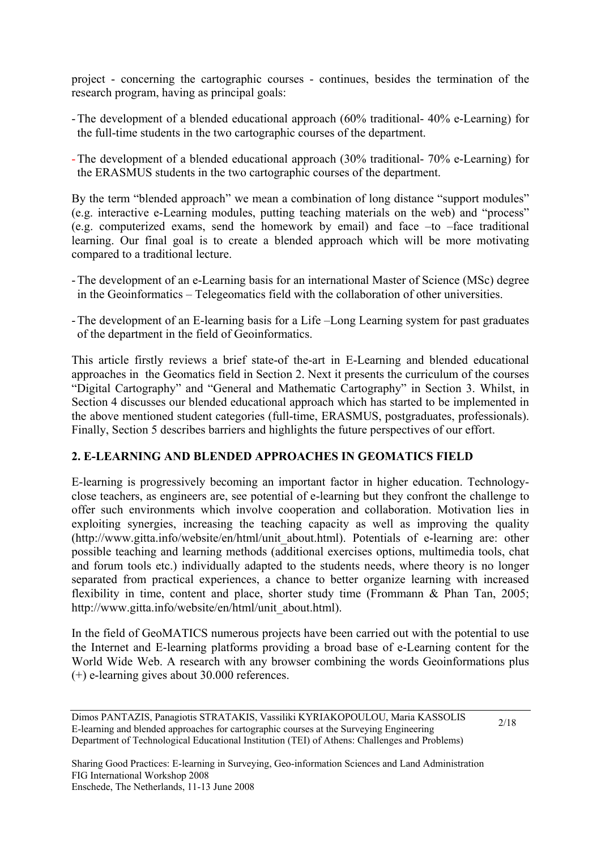project - concerning the cartographic courses - continues, besides the termination of the research program, having as principal goals:

- -The development of a blended educational approach (60% traditional- 40% e-Learning) for the full-time students in the two cartographic courses of the department.
- -The development of a blended educational approach (30% traditional- 70% e-Learning) for the ERASMUS students in the two cartographic courses of the department.

By the term "blended approach" we mean a combination of long distance "support modules" (e.g. interactive e-Learning modules, putting teaching materials on the web) and "process" (e.g. computerized exams, send the homework by email) and face –to –face traditional learning. Our final goal is to create a blended approach which will be more motivating compared to a traditional lecture.

- -The development of an e-Learning basis for an international Master of Science (MSc) degree in the Geoinformatics – Telegeomatics field with the collaboration of other universities.
- -The development of an E-learning basis for a Life –Long Learning system for past graduates of the department in the field of Geoinformatics.

This article firstly reviews a brief state-of the-art in E-Learning and blended educational approaches in the Geomatics field in Section 2. Next it presents the curriculum of the courses "Digital Cartography" and "General and Mathematic Cartography" in Section 3. Whilst, in Section 4 discusses our blended educational approach which has started to be implemented in the above mentioned student categories (full-time, ERASMUS, postgraduates, professionals). Finally, Section 5 describes barriers and highlights the future perspectives of our effort.

## **2. E-LEARNING AND BLENDED APPROACHES IN GEOMATICS FIELD**

E-learning is progressively becoming an important factor in higher education. Technologyclose teachers, as engineers are, see potential of e-learning but they confront the challenge to offer such environments which involve cooperation and collaboration. Motivation lies in exploiting synergies, increasing the teaching capacity as well as improving the quality (http://www.gitta.info/website/en/html/unit\_about.html). Potentials of e-learning are: other possible teaching and learning methods (additional exercises options, multimedia tools, chat and forum tools etc.) individually adapted to the students needs, where theory is no longer separated from practical experiences, a chance to better organize learning with increased flexibility in time, content and place, shorter study time (Frommann & Phan Tan, 2005; http://www.gitta.info/website/en/html/unit\_about.html).

In the field of GeoMATICS numerous projects have been carried out with the potential to use the Internet and E-learning platforms providing a broad base of e-Learning content for the World Wide Web. A research with any browser combining the words Geoinformations plus (+) e-learning gives about 30.000 references.

Dimos PANTAZIS, Panagiotis STRATAKIS, Vassiliki KYRIAKOPOULOU, Maria KASSOLIS E-learning and blended approaches for cartographic courses at the Surveying Engineering Department of Technological Educational Institution (TEI) of Athens: Challenges and Problems)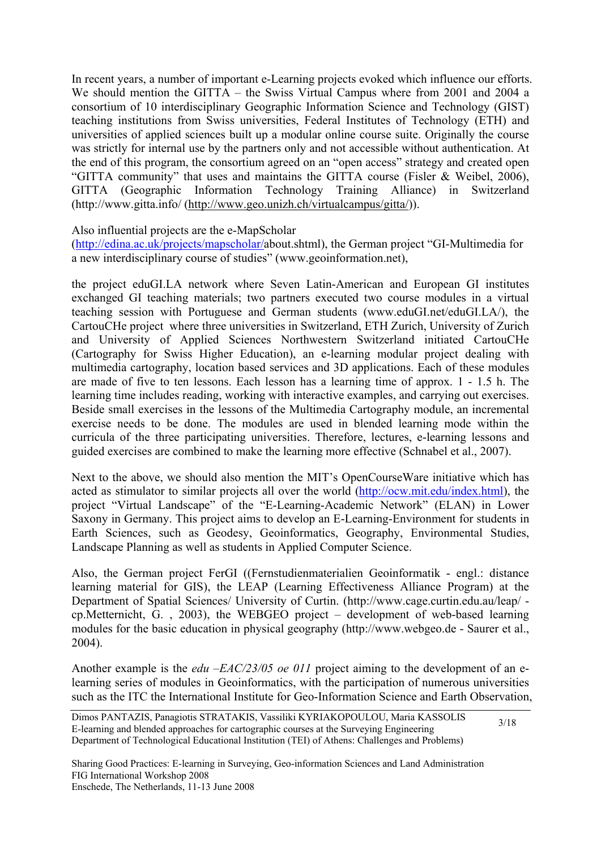In recent years, a number of important e-Learning projects evoked which influence our efforts. We should mention the GITTA – the Swiss Virtual Campus where from 2001 and 2004 a consortium of 10 interdisciplinary Geographic Information Science and Technology (GIST) teaching institutions from Swiss universities, Federal Institutes of Technology (ETH) and universities of applied sciences built up a modular online course suite. Originally the course was strictly for internal use by the partners only and not accessible without authentication. At the end of this program, the consortium agreed on an "open access" strategy and created open "GITTA community" that uses and maintains the GITTA course (Fisler & Weibel, 2006), GITTA (Geographic Information Technology Training Alliance) in Switzerland (http://www.gitta.info/ ([http://www.geo.unizh.ch/virtualcampus/gitta/\)](http://www.geo.unizh.ch/virtualcampus/gitta/)).

Also influential projects are the e-MapScholar

([http://edina.ac.uk/projects/mapscholar/a](http://edina.ac.uk/projects/mapscholar/)bout.shtml), the German project "GI-Multimedia for a new interdisciplinary course of studies" (www.geoinformation.net),

the project eduGI.LA network where Seven Latin-American and European GI institutes exchanged GI teaching materials; two partners executed two course modules in a virtual teaching session with Portuguese and German students (www.eduGI.net/eduGI.LA/), the CartouCHe project where three universities in Switzerland, ETH Zurich, University of Zurich and University of Applied Sciences Northwestern Switzerland initiated CartouCHe (Cartography for Swiss Higher Education), an e-learning modular project dealing with multimedia cartography, location based services and 3D applications. Each of these modules are made of five to ten lessons. Each lesson has a learning time of approx. 1 - 1.5 h. The learning time includes reading, working with interactive examples, and carrying out exercises. Beside small exercises in the lessons of the Multimedia Cartography module, an incremental exercise needs to be done. The modules are used in blended learning mode within the curricula of the three participating universities. Therefore, lectures, e-learning lessons and guided exercises are combined to make the learning more effective (Schnabel et al., 2007).

Next to the above, we should also mention the MIT's OpenCourseWare initiative which has acted as stimulator to similar projects all over the world [\(http://ocw.mit.edu/index.html\)](http://ocw.mit.edu/index.html), the project "Virtual Landscape" of the "E-Learning-Academic Network" (ELAN) in Lower Saxony in Germany. This project aims to develop an E-Learning-Environment for students in Earth Sciences, such as Geodesy, Geoinformatics, Geography, Environmental Studies, Landscape Planning as well as students in Applied Computer Science.

Also, the German project FerGI ((Fernstudienmaterialien Geoinformatik - engl.: distance learning material for GIS), the LEAP (Learning Effectiveness Alliance Program) at the Department of Spatial Sciences/ University of Curtin. (http://www.cage.curtin.edu.au/leap/ cp.Metternicht, G. , 2003), the WEBGEO project – development of web-based learning modules for the basic education in physical geography (http://www.webgeo.de - Saurer et al., 2004).

Another example is the *edu –EAC/23/05 oe 011* project aiming to the development of an elearning series of modules in Geoinformatics, with the participation of numerous universities such as the ITC the International Institute for Geo-Information Science and Earth Observation,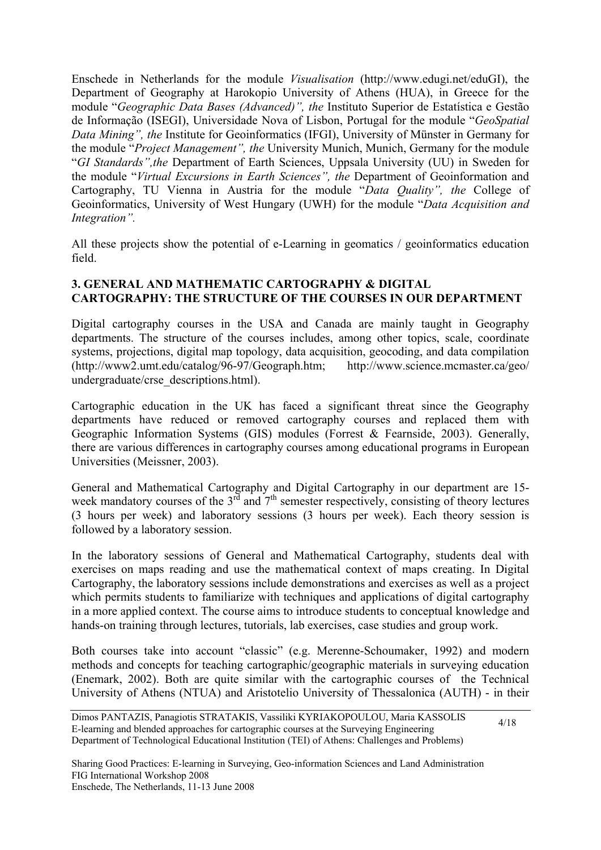Enschede in Netherlands for the module *Visualisation* [\(http://www.edugi.net/eduGI](http://www.edugi.net/eduGI)), the Department of Geography at Harokopio University of Athens (HUA), in Greece for the module "*Geographic Data Bases (Advanced)", the* Instituto Superior de Estatística e Gestão de Informação (ISEGI), Universidade Nova of Lisbon, Portugal for the module "*GeoSpatial Data Mining", the* Institute for Geoinformatics (IFGI), University of Münster in Germany for the module "*Project Management", the* University Munich, Munich, Germany for the module "*GI Standards",the* Department of Earth Sciences, Uppsala University (UU) in Sweden for the module "*Virtual Excursions in Earth Sciences", the* Department of Geoinformation and Cartography, TU Vienna in Austria for the module "*Data Quality", the* College of Geoinformatics, University of West Hungary (UWH) for the module "*Data Acquisition and Integration".* 

All these projects show the potential of e-Learning in geomatics / geoinformatics education field.

### **3. GENERAL AND MATHEMATIC CARTOGRAPHY & DIGITAL CARTOGRAPHY: THE STRUCTURE OF THE COURSES IN OUR DEPARTMENT**

Digital cartography courses in the USA and Canada are mainly taught in Geography departments. The structure of the courses includes, among other topics, scale, coordinate systems, projections, digital map topology, data acquisition, geocoding, and data compilation (http://www2.umt.edu/catalog/96-97/Geograph.htm; http://www.science.mcmaster.ca/geo/ undergraduate/crse\_descriptions.html).

Cartographic education in the UK has faced a significant threat since the Geography departments have reduced or removed cartography courses and replaced them with Geographic Information Systems (GIS) modules (Forrest & Fearnside, 2003). Generally, there are various differences in cartography courses among educational programs in European Universities (Meissner, 2003).

General and Mathematical Cartography and Digital Cartography in our department are 15 week mandatory courses of the  $3^{rd}$  and  $7^{th}$  semester respectively, consisting of theory lectures (3 hours per week) and laboratory sessions (3 hours per week). Each theory session is followed by a laboratory session.

In the laboratory sessions of General and Mathematical Cartography, students deal with exercises on maps reading and use the mathematical context of maps creating. In Digital Cartography, the laboratory sessions include demonstrations and exercises as well as a project which permits students to familiarize with techniques and applications of digital cartography in a more applied context. The course aims to introduce students to conceptual knowledge and hands-on training through lectures, tutorials, lab exercises, case studies and group work.

Both courses take into account "classic" (e.g. Merenne-Schoumaker, 1992) and modern methods and concepts for teaching cartographic/geographic materials in surveying education (Enemark, 2002). Both are quite similar with the cartographic courses of the Technical University of Athens (NTUA) and Aristotelio University of Thessalonica (AUTH) - in their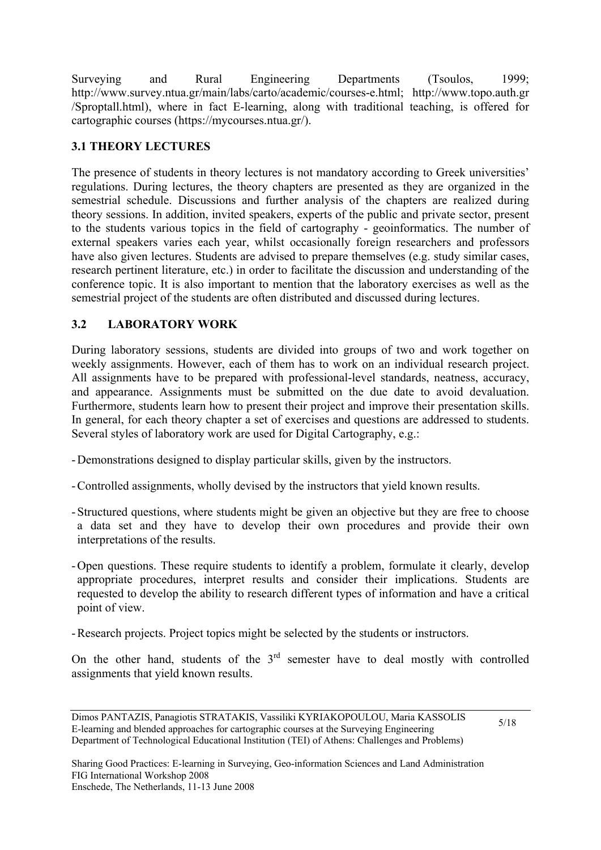Surveying and Rural Engineering Departments (Tsoulos, 1999; http://www.survey.ntua.gr/main/labs/carto/academic/courses-e.html; http://www.topo.auth.gr /Sproptall.html), where in fact E-learning, along with traditional teaching, is offered for cartographic courses (https://mycourses.ntua.gr/).

## **3.1 THEORY LECTURES**

The presence of students in theory lectures is not mandatory according to Greek universities' regulations. During lectures, the theory chapters are presented as they are organized in the semestrial schedule. Discussions and further analysis of the chapters are realized during theory sessions. In addition, invited speakers, experts of the public and private sector, present to the students various topics in the field of cartography - geoinformatics. The number of external speakers varies each year, whilst occasionally foreign researchers and professors have also given lectures. Students are advised to prepare themselves (e.g. study similar cases, research pertinent literature, etc.) in order to facilitate the discussion and understanding of the conference topic. It is also important to mention that the laboratory exercises as well as the semestrial project of the students are often distributed and discussed during lectures.

## **3.2 LABORATORY WORK**

During laboratory sessions, students are divided into groups of two and work together on weekly assignments. However, each of them has to work on an individual research project. All assignments have to be prepared with professional-level standards, neatness, accuracy, and appearance. Assignments must be submitted on the due date to avoid devaluation. Furthermore, students learn how to present their project and improve their presentation skills. In general, for each theory chapter a set of exercises and questions are addressed to students. Several styles of laboratory work are used for Digital Cartography, e.g.:

- -Demonstrations designed to display particular skills, given by the instructors.
- -Controlled assignments, wholly devised by the instructors that yield known results.
- -Structured questions, where students might be given an objective but they are free to choose a data set and they have to develop their own procedures and provide their own interpretations of the results.
- -Open questions. These require students to identify a problem, formulate it clearly, develop appropriate procedures, interpret results and consider their implications. Students are requested to develop the ability to research different types of information and have a critical point of view.
- -Research projects. Project topics might be selected by the students or instructors.

On the other hand, students of the  $3<sup>rd</sup>$  semester have to deal mostly with controlled assignments that yield known results.

Dimos PANTAZIS, Panagiotis STRATAKIS, Vassiliki KYRIAKOPOULOU, Maria KASSOLIS E-learning and blended approaches for cartographic courses at the Surveying Engineering Department of Technological Educational Institution (TEI) of Athens: Challenges and Problems)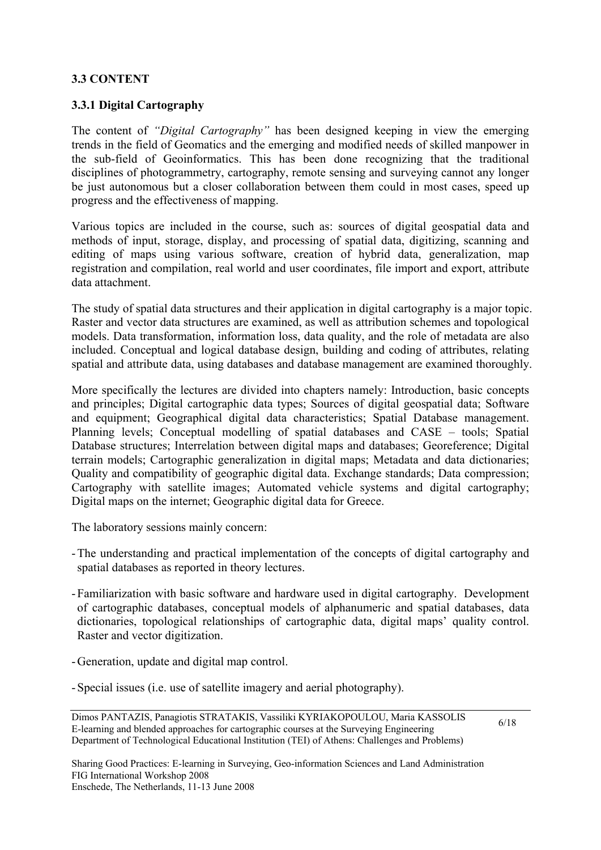### **3.3 CONTENT**

### **3.3.1 Digital Cartography**

The content of *"Digital Cartography"* has been designed keeping in view the emerging trends in the field of Geomatics and the emerging and modified needs of skilled manpower in the sub-field of Geoinformatics. This has been done recognizing that the traditional disciplines of photogrammetry, cartography, remote sensing and surveying cannot any longer be just autonomous but a closer collaboration between them could in most cases, speed up progress and the effectiveness of mapping.

Various topics are included in the course, such as: sources of digital geospatial data and methods of input, storage, display, and processing of spatial data, digitizing, scanning and editing of maps using various software, creation of hybrid data, generalization, map registration and compilation, real world and user coordinates, file import and export, attribute data attachment.

The study of spatial data structures and their application in digital cartography is a major topic. Raster and vector data structures are examined, as well as attribution schemes and topological models. Data transformation, information loss, data quality, and the role of metadata are also included. Conceptual and logical database design, building and coding of attributes, relating spatial and attribute data, using databases and database management are examined thoroughly.

More specifically the lectures are divided into chapters namely: Introduction, basic concepts and principles; Digital cartographic data types; Sources of digital geospatial data; Software and equipment; Geographical digital data characteristics; Spatial Database management. Planning levels; Conceptual modelling of spatial databases and CASE – tools; Spatial Database structures; Interrelation between digital maps and databases; Georeference; Digital terrain models; Cartographic generalization in digital maps; Metadata and data dictionaries; Quality and compatibility of geographic digital data. Exchange standards; Data compression; Cartography with satellite images; Automated vehicle systems and digital cartography; Digital maps on the internet; Geographic digital data for Greece.

The laboratory sessions mainly concern:

- -The understanding and practical implementation of the concepts of digital cartography and spatial databases as reported in theory lectures.
- -Familiarization with basic software and hardware used in digital cartography. Development of cartographic databases, conceptual models of alphanumeric and spatial databases, data dictionaries, topological relationships of cartographic data, digital maps' quality control. Raster and vector digitization.
- -Generation, update and digital map control.
- -Special issues (i.e. use of satellite imagery and aerial photography).

Dimos PANTAZIS, Panagiotis STRATAKIS, Vassiliki KYRIAKOPOULOU, Maria KASSOLIS E-learning and blended approaches for cartographic courses at the Surveying Engineering Department of Technological Educational Institution (TEI) of Athens: Challenges and Problems)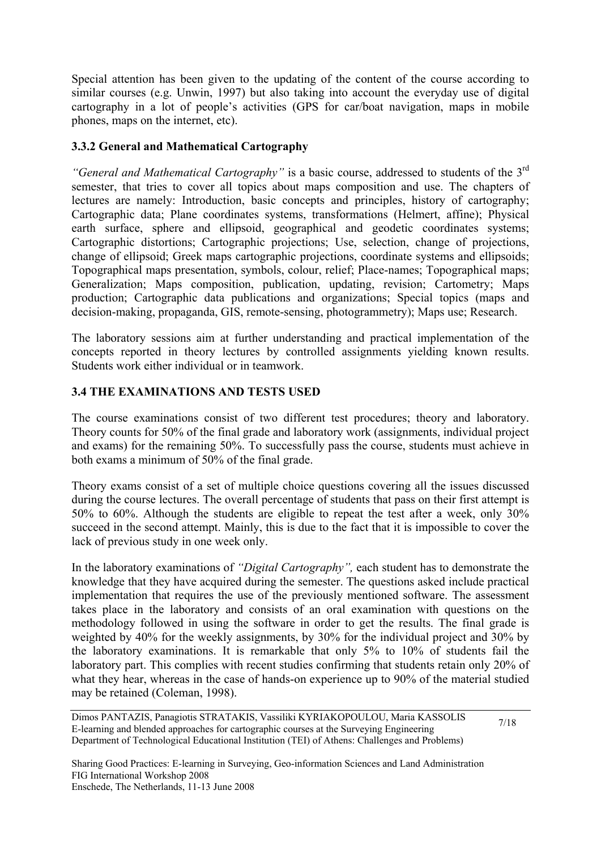Special attention has been given to the updating of the content of the course according to similar courses (e.g. Unwin, 1997) but also taking into account the everyday use of digital cartography in a lot of people's activities (GPS for car/boat navigation, maps in mobile phones, maps on the internet, etc).

### **3.3.2 General and Mathematical Cartography**

*"General and Mathematical Cartography"* is a basic course, addressed to students of the 3rd semester, that tries to cover all topics about maps composition and use. The chapters of lectures are namely: Introduction, basic concepts and principles, history of cartography; Cartographic data; Plane coordinates systems, transformations (Helmert, affine); Physical earth surface, sphere and ellipsoid, geographical and geodetic coordinates systems; Cartographic distortions; Cartographic projections; Use, selection, change of projections, change of ellipsoid; Greek maps cartographic projections, coordinate systems and ellipsoids; Topographical maps presentation, symbols, colour, relief; Place-names; Topographical maps; Generalization; Maps composition, publication, updating, revision; Cartometry; Maps production; Cartographic data publications and organizations; Special topics (maps and decision-making, propaganda, GIS, remote-sensing, photogrammetry); Maps use; Research.

The laboratory sessions aim at further understanding and practical implementation of the concepts reported in theory lectures by controlled assignments yielding known results. Students work either individual or in teamwork.

## **3.4 THE EXAMINATIONS AND TESTS USED**

The course examinations consist of two different test procedures; theory and laboratory. Theory counts for 50% of the final grade and laboratory work (assignments, individual project and exams) for the remaining 50%. To successfully pass the course, students must achieve in both exams a minimum of 50% of the final grade.

Theory exams consist of a set of multiple choice questions covering all the issues discussed during the course lectures. The overall percentage of students that pass on their first attempt is 50% to 60%. Although the students are eligible to repeat the test after a week, only 30% succeed in the second attempt. Mainly, this is due to the fact that it is impossible to cover the lack of previous study in one week only.

In the laboratory examinations of *"Digital Cartography",* each student has to demonstrate the knowledge that they have acquired during the semester. The questions asked include practical implementation that requires the use of the previously mentioned software. The assessment takes place in the laboratory and consists of an oral examination with questions on the methodology followed in using the software in order to get the results. The final grade is weighted by 40% for the weekly assignments, by 30% for the individual project and 30% by the laboratory examinations. It is remarkable that only 5% to 10% of students fail the laboratory part. This complies with recent studies confirming that students retain only 20% of what they hear, whereas in the case of hands-on experience up to 90% of the material studied may be retained (Coleman, 1998).

Dimos PANTAZIS, Panagiotis STRATAKIS, Vassiliki KYRIAKOPOULOU, Maria KASSOLIS E-learning and blended approaches for cartographic courses at the Surveying Engineering Department of Technological Educational Institution (TEI) of Athens: Challenges and Problems)

7/18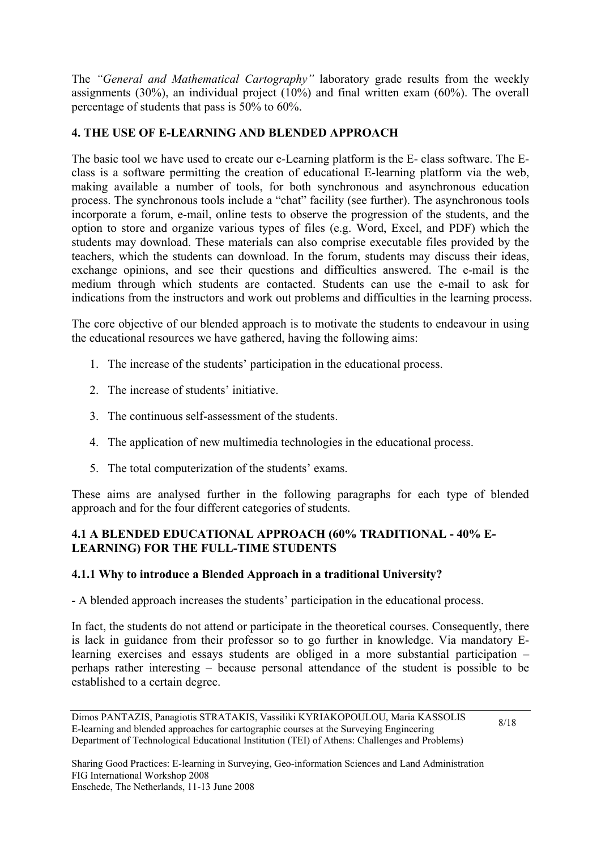The *"General and Mathematical Cartography"* laboratory grade results from the weekly assignments (30%), an individual project (10%) and final written exam (60%). The overall percentage of students that pass is 50% to 60%.

## **4. THE USE OF E-LEARNING AND BLENDED APPROACH**

The basic tool we have used to create our e-Learning platform is the E- class software. The Eclass is a software permitting the creation of educational E-learning platform via the web, making available a number of tools, for both synchronous and asynchronous education process. The synchronous tools include a "chat" facility (see further). The asynchronous tools incorporate a forum, e-mail, online tests to observe the progression of the students, and the option to store and organize various types of files (e.g. Word, Excel, and PDF) which the students may download. These materials can also comprise executable files provided by the teachers, which the students can download. In the forum, students may discuss their ideas, exchange opinions, and see their questions and difficulties answered. The e-mail is the medium through which students are contacted. Students can use the e-mail to ask for indications from the instructors and work out problems and difficulties in the learning process.

The core objective of our blended approach is to motivate the students to endeavour in using the educational resources we have gathered, having the following aims:

- 1. The increase of the students' participation in the educational process.
- 2. The increase of students' initiative.
- 3. The continuous self-assessment of the students.
- 4. The application of new multimedia technologies in the educational process.
- 5. The total computerization of the students' exams.

These aims are analysed further in the following paragraphs for each type of blended approach and for the four different categories of students.

## **4.1 A BLENDED EDUCATIONAL APPROACH (60% TRADITIONAL - 40% E-LEARNING) FOR THE FULL-TIME STUDENTS**

## **4.1.1 Why to introduce a Blended Approach in a traditional University?**

- A blended approach increases the students' participation in the educational process.

In fact, the students do not attend or participate in the theoretical courses. Consequently, there is lack in guidance from their professor so to go further in knowledge. Via mandatory Elearning exercises and essays students are obliged in a more substantial participation – perhaps rather interesting – because personal attendance of the student is possible to be established to a certain degree.

Dimos PANTAZIS, Panagiotis STRATAKIS, Vassiliki KYRIAKOPOULOU, Maria KASSOLIS E-learning and blended approaches for cartographic courses at the Surveying Engineering Department of Technological Educational Institution (TEI) of Athens: Challenges and Problems)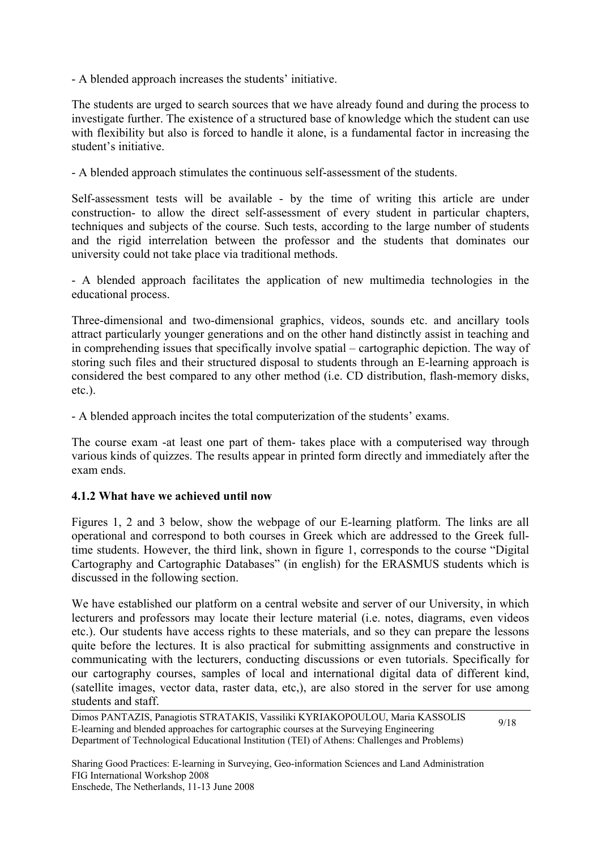- A blended approach increases the students' initiative.

The students are urged to search sources that we have already found and during the process to investigate further. The existence of a structured base of knowledge which the student can use with flexibility but also is forced to handle it alone, is a fundamental factor in increasing the student's initiative.

- A blended approach stimulates the continuous self-assessment of the students.

Self-assessment tests will be available - by the time of writing this article are under construction- to allow the direct self-assessment of every student in particular chapters, techniques and subjects of the course. Such tests, according to the large number of students and the rigid interrelation between the professor and the students that dominates our university could not take place via traditional methods.

- A blended approach facilitates the application of new multimedia technologies in the educational process.

Three-dimensional and two-dimensional graphics, videos, sounds etc. and ancillary tools attract particularly younger generations and on the other hand distinctly assist in teaching and in comprehending issues that specifically involve spatial – cartographic depiction. The way of storing such files and their structured disposal to students through an E-learning approach is considered the best compared to any other method (i.e. CD distribution, flash-memory disks, etc.).

- A blended approach incites the total computerization of the students' exams.

The course exam -at least one part of them- takes place with a computerised way through various kinds of quizzes. The results appear in printed form directly and immediately after the exam ends.

### **4.1.2 What have we achieved until now**

Figures 1, 2 and 3 below, show the webpage of our E-learning platform. The links are all operational and correspond to both courses in Greek which are addressed to the Greek fulltime students. However, the third link, shown in figure 1, corresponds to the course "Digital Cartography and Cartographic Databases" (in english) for the ERASMUS students which is discussed in the following section.

We have established our platform on a central website and server of our University, in which lecturers and professors may locate their lecture material (i.e. notes, diagrams, even videos etc.). Our students have access rights to these materials, and so they can prepare the lessons quite before the lectures. It is also practical for submitting assignments and constructive in communicating with the lecturers, conducting discussions or even tutorials. Specifically for our cartography courses, samples of local and international digital data of different kind, (satellite images, vector data, raster data, etc,), are also stored in the server for use among students and staff.

9/18

Dimos PANTAZIS, Panagiotis STRATAKIS, Vassiliki KYRIAKOPOULOU, Maria KASSOLIS E-learning and blended approaches for cartographic courses at the Surveying Engineering Department of Technological Educational Institution (TEI) of Athens: Challenges and Problems)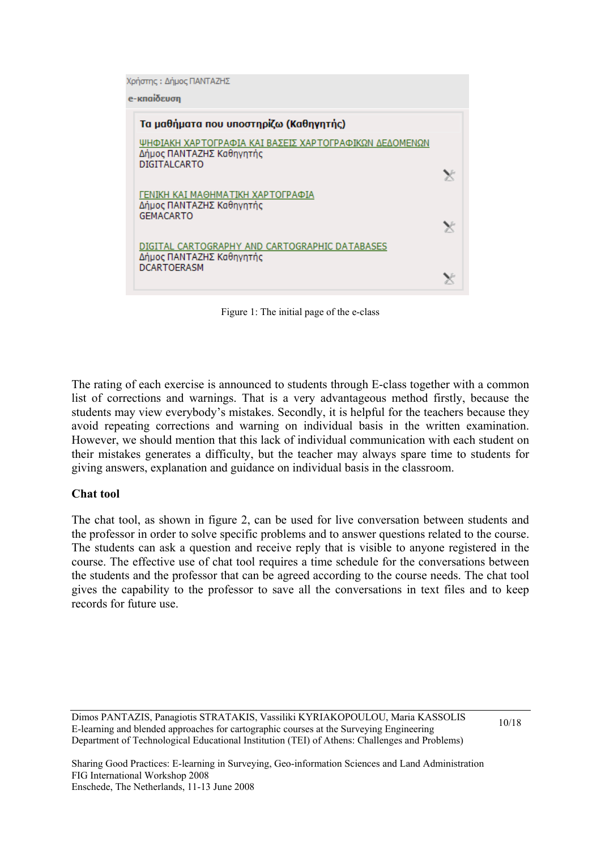Χρήστης: Δήμος ΠΑΝΤΑΖΗΣ

e-κπαίδευση



Figure 1: The initial page of the e-class

The rating of each exercise is announced to students through E-class together with a common list of corrections and warnings. That is a very advantageous method firstly, because the students may view everybody's mistakes. Secondly, it is helpful for the teachers because they avoid repeating corrections and warning on individual basis in the written examination. However, we should mention that this lack of individual communication with each student on their mistakes generates a difficulty, but the teacher may always spare time to students for giving answers, explanation and guidance on individual basis in the classroom.

#### **Chat tool**

The chat tool, as shown in figure 2, can be used for live conversation between students and the professor in order to solve specific problems and to answer questions related to the course. The students can ask a question and receive reply that is visible to anyone registered in the course. The effective use of chat tool requires a time schedule for the conversations between the students and the professor that can be agreed according to the course needs. The chat tool gives the capability to the professor to save all the conversations in text files and to keep records for future use.

Dimos PANTAZIS, Panagiotis STRATAKIS, Vassiliki KYRIAKOPOULOU, Maria KASSOLIS E-learning and blended approaches for cartographic courses at the Surveying Engineering Department of Technological Educational Institution (TEI) of Athens: Challenges and Problems)

10/18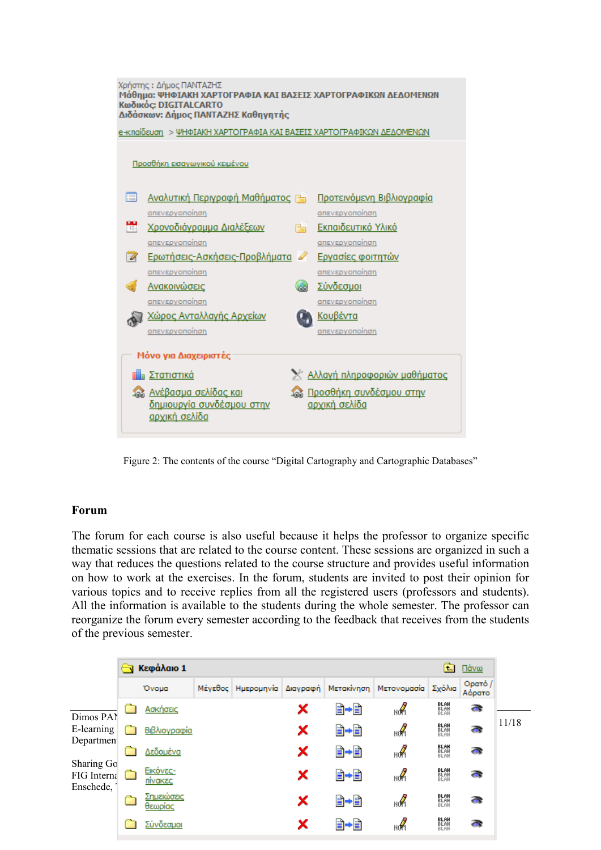

Figure 2: The contents of the course "Digital Cartography and Cartographic Databases"

### **Forum**

The forum for each course is also useful because it helps the professor to organize specific thematic sessions that are related to the course content. These sessions are organized in such a way that reduces the questions related to the course structure and provides useful information on how to work at the exercises. In the forum, students are invited to post their opinion for various topics and to receive replies from all the registered users (professors and students). All the information is available to the students during the whole semester. The professor can reorganize the forum every semester according to the feedback that receives from the students of the previous semester.

|                                                                                       | Κεφάλαιο 1<br>亡 |                            |  |  |   |         |                                                           |                      | Πάνω              |       |
|---------------------------------------------------------------------------------------|-----------------|----------------------------|--|--|---|---------|-----------------------------------------------------------|----------------------|-------------------|-------|
|                                                                                       |                 | Ovoua                      |  |  |   |         | Μέγεθος Ημερομηνία Διαγραφή Μετακίνηση Μετονομασία Σχόλια |                      | Ορατό /<br>Αόρατο |       |
| Dimos PAN<br>E-learning<br>Departmen<br>Sharing Go<br><b>FIG</b> Interna<br>Enschede, |                 | Ασκήσεις                   |  |  | × | ∎•∎     | мÁ                                                        | BLAH<br>Blah<br>Blah | $\bullet$         | 11/18 |
|                                                                                       |                 | Βιβλιογραφία               |  |  | × | B→B     | мÁ                                                        | BLAH<br>Blah<br>Blah | $\bullet$         |       |
|                                                                                       |                 | Δεδομένα                   |  |  | × | ∎•∎     | мÂ                                                        | BLAH<br>Blah<br>Blah | $\bullet$         |       |
|                                                                                       |                 | Εικόνες-<br><u>πίνακες</u> |  |  | × | ∎•∎     | мÁ                                                        | BLAH<br>Blah<br>Blah | $\bullet$         |       |
|                                                                                       |                 | Σημειώσεις<br>θεωρίας      |  |  | × | ∎•∎     | мÁ                                                        | BLAH<br>Blah<br>Blah | $\bullet$         |       |
|                                                                                       |                 | Σύνδεσμοι                  |  |  | x | +≣<br>圕 | нoЙ                                                       | BLAH<br>Blah<br>Blah | $\bullet$         |       |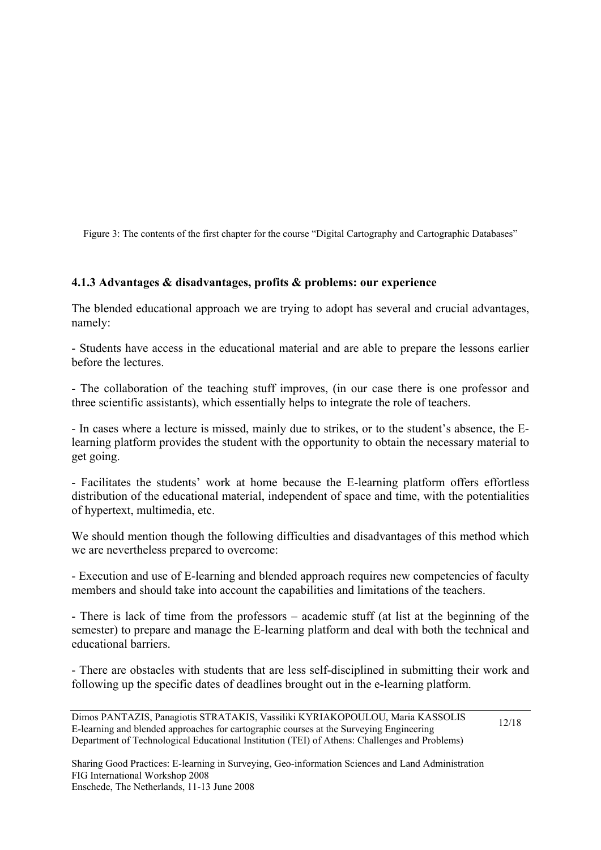Figure 3: The contents of the first chapter for the course "Digital Cartography and Cartographic Databases"

### **4.1.3 Advantages & disadvantages, profits & problems: our experience**

The blended educational approach we are trying to adopt has several and crucial advantages, namely:

- Students have access in the educational material and are able to prepare the lessons earlier before the lectures.

- The collaboration of the teaching stuff improves, (in our case there is one professor and three scientific assistants), which essentially helps to integrate the role of teachers.

- In cases where a lecture is missed, mainly due to strikes, or to the student's absence, the Elearning platform provides the student with the opportunity to obtain the necessary material to get going.

- Facilitates the students' work at home because the E-learning platform offers effortless distribution of the educational material, independent of space and time, with the potentialities of hypertext, multimedia, etc.

We should mention though the following difficulties and disadvantages of this method which we are nevertheless prepared to overcome:

- Execution and use of E-learning and blended approach requires new competencies of faculty members and should take into account the capabilities and limitations of the teachers.

- There is lack of time from the professors – academic stuff (at list at the beginning of the semester) to prepare and manage the E-learning platform and deal with both the technical and educational barriers.

- There are obstacles with students that are less self-disciplined in submitting their work and following up the specific dates of deadlines brought out in the e-learning platform.

12/18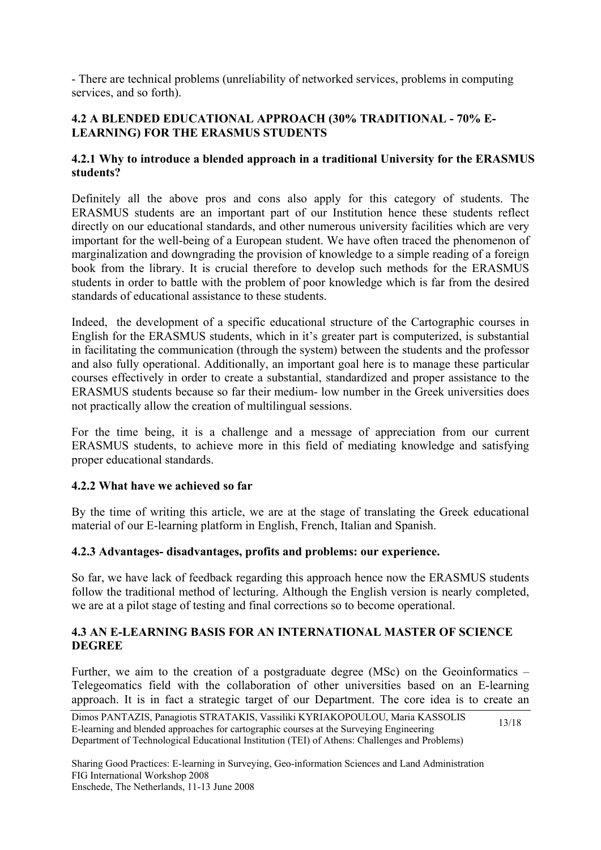- There are technical problems (unreliability of networked services, problems in computing services, and so forth).

## **4.2 A BLENDED EDUCATIONAL APPROACH (30% TRADITIONAL - 70% E-LEARNING) FOR THE ERASMUS STUDENTS**

### **4.2.1 Why to introduce a blended approach in a traditional University for the ERASMUS students?**

Definitely all the above pros and cons also apply for this category of students. The ERASMUS students are an important part of our Institution hence these students reflect directly on our educational standards, and other numerous university facilities which are very important for the well-being of a European student. We have often traced the phenomenon of marginalization and downgrading the provision of knowledge to a simple reading of a foreign book from the library. It is crucial therefore to develop such methods for the ERASMUS students in order to battle with the problem of poor knowledge which is far from the desired standards of educational assistance to these students.

Indeed, the development of a specific educational structure of the Cartographic courses in English for the ERASMUS students, which in it's greater part is computerized, is substantial in facilitating the communication (through the system) between the students and the professor and also fully operational. Additionally, an important goal here is to manage these particular courses effectively in order to create a substantial, standardized and proper assistance to the ERASMUS students because so far their medium- low number in the Greek universities does not practically allow the creation of multilingual sessions.

For the time being, it is a challenge and a message of appreciation from our current ERASMUS students, to achieve more in this field of mediating knowledge and satisfying proper educational standards.

### **4.2.2 What have we achieved so far**

By the time of writing this article, we are at the stage of translating the Greek educational material of our E-learning platform in English, French, Italian and Spanish.

### **4.2.3 Advantages- disadvantages, profits and problems: our experience.**

So far, we have lack of feedback regarding this approach hence now the ERASMUS students follow the traditional method of lecturing. Although the English version is nearly completed, we are at a pilot stage of testing and final corrections so to become operational.

### **4.3 AN E-LEARNING BASIS FOR AN INTERNATIONAL MASTER OF SCIENCE DEGREE**

Further, we aim to the creation of a postgraduate degree (MSc) on the Geoinformatics – Telegeomatics field with the collaboration of other universities based on an E-learning approach. It is in fact a strategic target of our Department. The core idea is to create an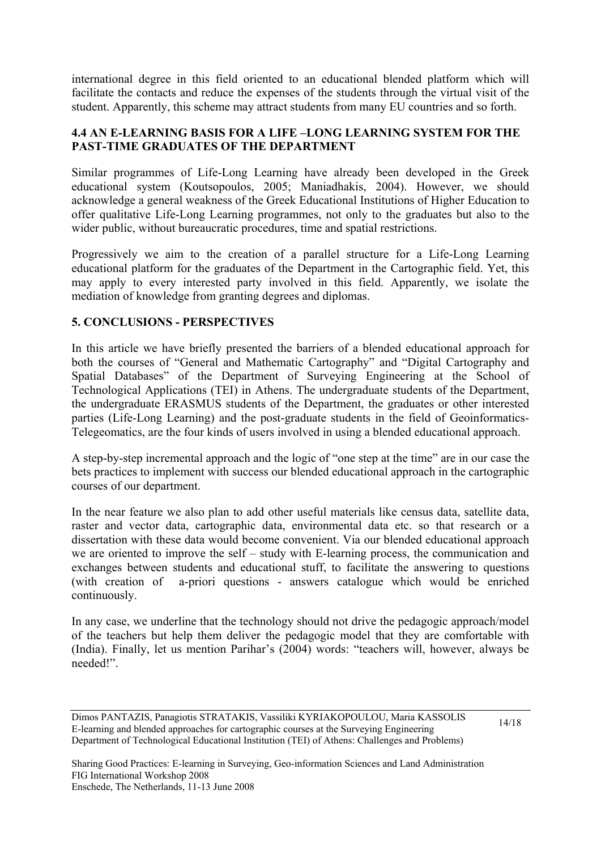international degree in this field oriented to an educational blended platform which will facilitate the contacts and reduce the expenses of the students through the virtual visit of the student. Apparently, this scheme may attract students from many EU countries and so forth.

### **4.4 AN E-LEARNING BASIS FOR A LIFE –LONG LEARNING SYSTEM FOR THE PAST-TIME GRADUATES OF THE DEPARTMENT**

Similar programmes of Life-Long Learning have already been developed in the Greek educational system (Koutsopoulos, 2005; Maniadhakis, 2004). However, we should acknowledge a general weakness of the Greek Educational Institutions of Higher Education to offer qualitative Life-Long Learning programmes, not only to the graduates but also to the wider public, without bureaucratic procedures, time and spatial restrictions.

Progressively we aim to the creation of a parallel structure for a Life-Long Learning educational platform for the graduates of the Department in the Cartographic field. Yet, this may apply to every interested party involved in this field. Apparently, we isolate the mediation of knowledge from granting degrees and diplomas.

## **5. CONCLUSIONS - PERSPECTIVES**

In this article we have briefly presented the barriers of a blended educational approach for both the courses of "General and Mathematic Cartography" and "Digital Cartography and Spatial Databases" of the Department of Surveying Engineering at the School of Technological Applications (TEI) in Athens. The undergraduate students of the Department, the undergraduate ERASMUS students of the Department, the graduates or other interested parties (Life-Long Learning) and the post-graduate students in the field of Geoinformatics-Telegeomatics, are the four kinds of users involved in using a blended educational approach.

A step-by-step incremental approach and the logic of "one step at the time" are in our case the bets practices to implement with success our blended educational approach in the cartographic courses of our department.

In the near feature we also plan to add other useful materials like census data, satellite data, raster and vector data, cartographic data, environmental data etc. so that research or a dissertation with these data would become convenient. Via our blended educational approach we are oriented to improve the self – study with E-learning process, the communication and exchanges between students and educational stuff, to facilitate the answering to questions (with creation of a-priori questions - answers catalogue which would be enriched continuously.

In any case, we underline that the technology should not drive the pedagogic approach/model of the teachers but help them deliver the pedagogic model that they are comfortable with (India). Finally, let us mention Parihar's (2004) words: "teachers will, however, always be needed!".

Dimos PANTAZIS, Panagiotis STRATAKIS, Vassiliki KYRIAKOPOULOU, Maria KASSOLIS E-learning and blended approaches for cartographic courses at the Surveying Engineering Department of Technological Educational Institution (TEI) of Athens: Challenges and Problems)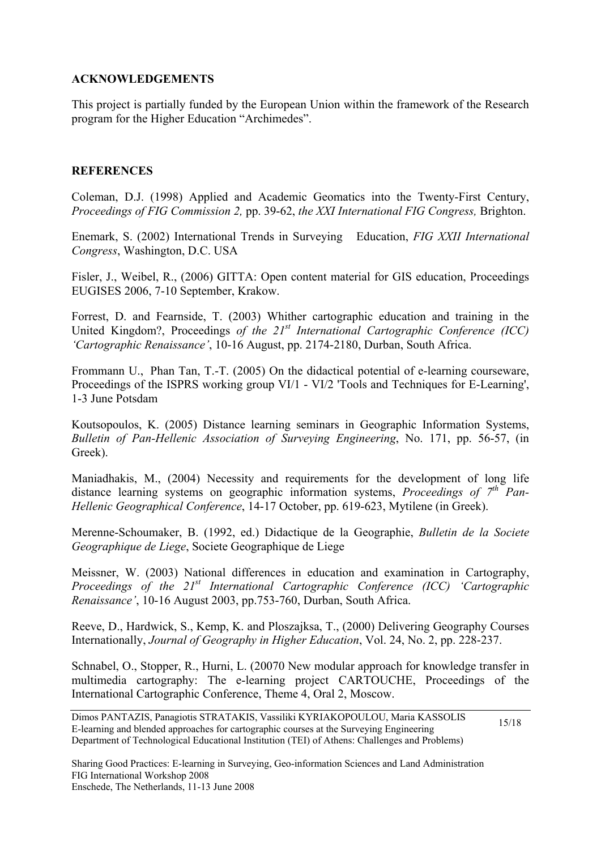### **ACKNOWLEDGEMENTS**

This project is partially funded by the European Union within the framework of the Research program for the Higher Education "Archimedes".

### **REFERENCES**

Coleman, D.J. (1998) Applied and Academic Geomatics into the Twenty-First Century, *Proceedings of FIG Commission 2,* pp. 39-62, *the XXI International FIG Congress,* Brighton.

Enemark, S. (2002) International Trends in Surveying Education, *FIG XXII International Congress*, Washington, D.C. USA

Fisler, J., Weibel, R., (2006) GITTA: Open content material for GIS education, Proceedings EUGISES 2006, 7-10 September, Krakow.

Forrest, D. and Fearnside, T. (2003) Whither cartographic education and training in the United Kingdom?, Proceedings *of the 21st International Cartographic Conference (ICC) 'Cartographic Renaissance'*, 10-16 August, pp. 2174-2180, Durban, South Africa.

Frommann U., Phan Tan, T.-T. (2005) On the didactical potential of e-learning courseware, Proceedings of the ISPRS working group VI/1 - VI/2 'Tools and Techniques for E-Learning', 1-3 June Potsdam

Koutsopoulos, K. (2005) Distance learning seminars in Geographic Information Systems, *Bulletin of Pan-Hellenic Association of Surveying Engineering*, No. 171, pp. 56-57, (in Greek).

Maniadhakis, M., (2004) Necessity and requirements for the development of long life distance learning systems on geographic information systems, *Proceedings of*  $7<sup>th</sup> Pan-$ *Hellenic Geographical Conference*, 14-17 October, pp. 619-623, Mytilene (in Greek).

Merenne-Schoumaker, B. (1992, ed.) Didactique de la Geographie, *Bulletin de la Societe Geographique de Liege*, Societe Geographique de Liege

Meissner, W. (2003) National differences in education and examination in Cartography, *Proceedings of the 21st International Cartographic Conference (ICC) 'Cartographic Renaissance'*, 10-16 August 2003, pp.753-760, Durban, South Africa.

Reeve, D., Hardwick, S., Kemp, K. and Ploszajksa, T., (2000) Delivering Geography Courses Internationally, *Journal of Geography in Higher Education*, Vol. 24, No. 2, pp. 228-237.

Schnabel, O., Stopper, R., Hurni, L. (20070 New modular approach for knowledge transfer in multimedia cartography: The e-learning project CARTOUCHE, Proceedings of the International Cartographic Conference, Theme 4, Oral 2, Moscow.

Dimos PANTAZIS, Panagiotis STRATAKIS, Vassiliki KYRIAKOPOULOU, Maria KASSOLIS E-learning and blended approaches for cartographic courses at the Surveying Engineering Department of Technological Educational Institution (TEI) of Athens: Challenges and Problems) 15/18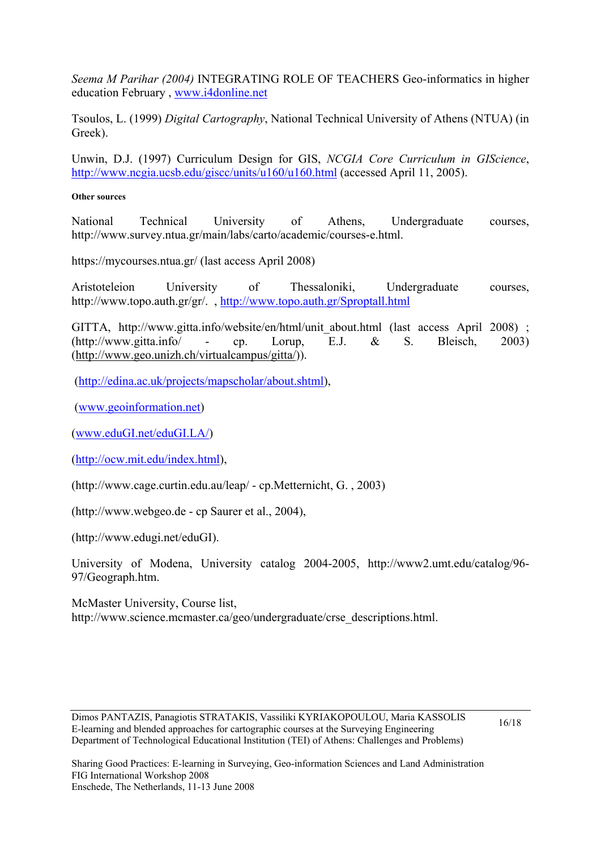*Seema M Parihar (2004)* INTEGRATING ROLE OF TEACHERS Geo-informatics in higher education February , [www.i4donline.net](http://www.i4donline.net/)

Tsoulos, L. (1999) *Digital Cartography*, National Technical University of Athens (NTUA) (in Greek).

Unwin, D.J. (1997) Curriculum Design for GIS, *NCGIA Core Curriculum in GIScience*, <http://www.ncgia.ucsb.edu/giscc/units/u160/u160.html> (accessed April 11, 2005).

#### **Other sources**

National Technical University of Athens, Undergraduate courses, [http://www.survey.ntua.gr/main/labs/carto/academic/courses-e.html.](http://www.survey.ntua.gr/main/labs/carto/academic/courses-e.html)

https://mycourses.ntua.gr/ (last access April 2008)

Aristoteleion University of Thessaloniki, Undergraduate courses, <http://www.topo.auth.gr/gr/>. ,<http://www.topo.auth.gr/Sproptall.html>

GITTA, http://www.gitta.info/website/en/html/unit\_about.html (last access April 2008) ; (http://www.gitta.info/ - cp. Lorup, E.J. & S. Bleisch, 2003) (<http://www.geo.unizh.ch/virtualcampus/gitta/>)).

([http://edina.ac.uk/projects/mapscholar/about.shtml\)](http://edina.ac.uk/projects/mapscholar/about.shtml),

([www.geoinformation.net\)](http://www.geoinformation.net/)

([www.eduGI.net/eduGI.LA/](http://www.edugi.net/eduGI.LA/))

([http://ocw.mit.edu/index.html\)](http://ocw.mit.edu/index.html),

(http://www.cage.curtin.edu.au/leap/ - cp.Metternicht, G. , 2003)

(http://www.webgeo.de - cp Saurer et al., 2004),

(<http://www.edugi.net/eduGI>).

University of Modena, University catalog 2004-2005, [http://www2.umt.edu/catalog/96-](http://www2.umt.edu/catalog/96-97/Geograph.htm) [97/Geograph.htm](http://www2.umt.edu/catalog/96-97/Geograph.htm).

McMaster University, Course list, [http://www.science.mcmaster.ca/geo/undergraduate/crse\\_descriptions.html](http://www.science.mcmaster.ca/geo/undergraduate/crse_descriptions.html).

Dimos PANTAZIS, Panagiotis STRATAKIS, Vassiliki KYRIAKOPOULOU, Maria KASSOLIS E-learning and blended approaches for cartographic courses at the Surveying Engineering Department of Technological Educational Institution (TEI) of Athens: Challenges and Problems)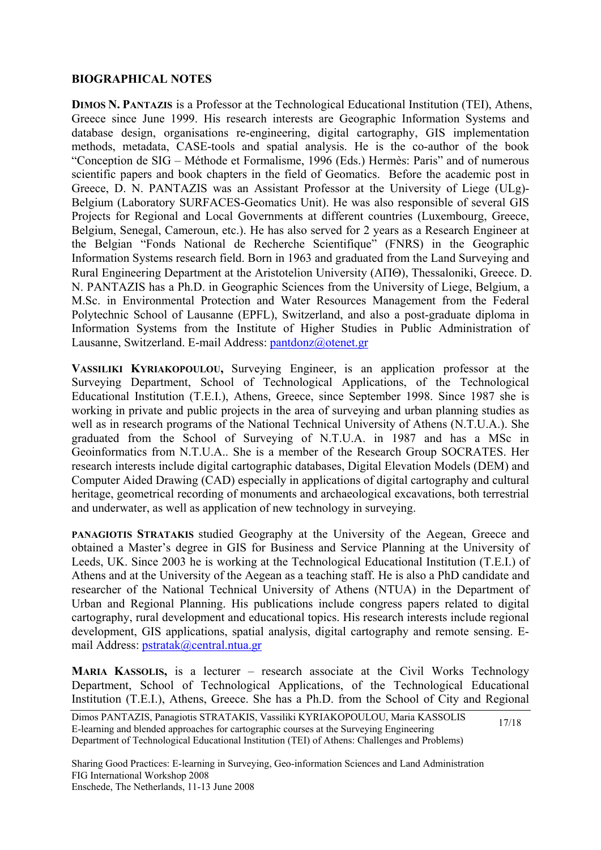### **BIOGRAPHICAL NOTES**

**DIMOS N. PANTAZIS** is a Professor at the Technological Educational Institution (TEI), Athens, Greece since June 1999. His research interests are Geographic Information Systems and database design, organisations re-engineering, digital cartography, GIS implementation methods, metadata, CASE-tools and spatial analysis. He is the co-author of the book "Conception de SIG – Méthode et Formalisme, 1996 (Eds.) Hermès: Paris" and of numerous scientific papers and book chapters in the field of Geomatics. Before the academic post in Greece, D. N. PANTAZIS was an Assistant Professor at the University of Liege (ULg)- Belgium (Laboratory SURFACES-Geomatics Unit). He was also responsible of several GIS Projects for Regional and Local Governments at different countries (Luxembourg, Greece, Belgium, Senegal, Cameroun, etc.). He has also served for 2 years as a Research Engineer at the Belgian "Fonds National de Recherche Scientifique" (FNRS) in the Geographic Information Systems research field. Born in 1963 and graduated from the Land Surveying and Rural Engineering Department at the Aristotelion University (AΠΘ), Thessaloniki, Greece. D. N. PANTAZIS has a Ph.D. in Geographic Sciences from the University of Liege, Belgium, a M.Sc. in Environmental Protection and Water Resources Management from the Federal Polytechnic School of Lausanne (EPFL), Switzerland, and also a post-graduate diploma in Information Systems from the Institute of Higher Studies in Public Administration of Lausanne, Switzerland. E-mail Address: [pantdonz@otenet.gr](mailto:pantdonz@otenet.gr)

**VASSILIKI KYRIAKOPOULOU,** Surveying Engineer, is an application professor at the Surveying Department, School of Technological Applications, of the Technological Educational Institution (T.E.I.), Athens, Greece, since September 1998. Since 1987 she is working in private and public projects in the area of surveying and urban planning studies as well as in research programs of the National Technical University of Athens (N.T.U.A.). She graduated from the School of Surveying of N.T.U.A. in 1987 and has a MSc in Geoinformatics from N.T.U.A.. She is a member of the Research Group SOCRATES. Her research interests include digital cartographic databases, Digital Elevation Models (DEM) and Computer Aided Drawing (CAD) especially in applications of digital cartography and cultural heritage, geometrical recording of monuments and archaeological excavations, both terrestrial and underwater, as well as application of new technology in surveying.

**PANAGIOTIS STRATAKIS** studied Geography at the University of the Aegean, Greece and obtained a Master's degree in GIS for Business and Service Planning at the University of Leeds, UK. Since 2003 he is working at the Technological Educational Institution (T.E.I.) of Athens and at the University of the Aegean as a teaching staff. He is also a PhD candidate and researcher of the National Technical University of Athens (NTUA) in the Department of Urban and Regional Planning. His publications include congress papers related to digital cartography, rural development and educational topics. His research interests include regional development, GIS applications, spatial analysis, digital cartography and remote sensing. Email Address: [pstratak@central.ntua.gr](mailto:pstratak@central.ntua.gr)

**MARIA KASSOLIS,** is a lecturer – research associate at the Civil Works Technology Department, School of Technological Applications, of the Technological Educational Institution (T.E.I.), Athens, Greece. She has a Ph.D. from the School of City and Regional